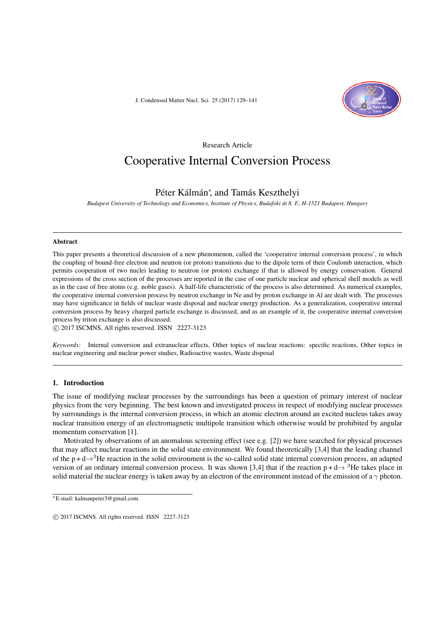J. Condensed Matter Nucl. Sci. 25 (2017) 129–141



Research Article

# Cooperative Internal Conversion Process

# Péter Kálmán*<sup>∗</sup>* , and Tamás Keszthelyi

*Budapest University of Technology and Economics, Institute of Physics, Budafoki út 8. F., H-1521 Budapest, Hungary*

#### Abstract

This paper presents a theoretical discussion of a new phenomenon, called the 'cooperative internal conversion process', in which the coupling of bound-free electron and neutron (or proton) transitions due to the dipole term of their Coulomb interaction, which permits cooperation of two nuclei leading to neutron (or proton) exchange if that is allowed by energy conservation. General expressions of the cross section of the processes are reported in the case of one particle nuclear and spherical shell models as well as in the case of free atoms (e.g. noble gases). A half-life characteristic of the process is also determined. As numerical examples, the cooperative internal conversion process by neutron exchange in Ne and by proton exchange in Al are dealt with. The processes may have significance in fields of nuclear waste disposal and nuclear energy production. As a generalization, cooperative internal conversion process by heavy charged particle exchange is discussed, and as an example of it, the cooperative internal conversion process by triton exchange is also discussed.

*⃝*c 2017 ISCMNS. All rights reserved. ISSN 2227-3123

*Keywords:* Internal conversion and extranuclear effects, Other topics of nuclear reactions: specific reactions, Other topics in nuclear engineering and nuclear power studies, Radioactive wastes, Waste disposal

#### 1. Introduction

The issue of modifying nuclear processes by the surroundings has been a question of primary interest of nuclear physics from the very beginning. The best known and investigated process in respect of modifying nuclear processes by surroundings is the internal conversion process, in which an atomic electron around an excited nucleus takes away nuclear transition energy of an electromagnetic multipole transition which otherwise would be prohibited by angular momentum conservation [1].

Motivated by observations of an anomalous screening effect (see e.g. [2]) we have searched for physical processes that may affect nuclear reactions in the solid state environment. We found theoretically [3,4] that the leading channel of the p + d*→*<sup>3</sup>He reaction in the solid environment is the so-called solid state internal conversion process, an adapted version of an ordinary internal conversion process. It was shown [3,4] that if the reaction  $p + d \rightarrow$ <sup>3</sup>He takes place in solid material the nuclear energy is taken away by an electron of the environment instead of the emission of a *γ* photon.

*<sup>∗</sup>*E-mail: kalmanpeter3@gmail.com.

*<sup>⃝</sup>*c 2017 ISCMNS. All rights reserved. ISSN 2227-3123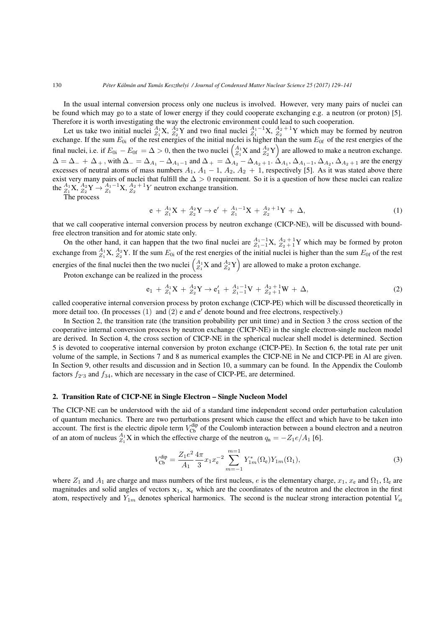In the usual internal conversion process only one nucleus is involved. However, very many pairs of nuclei can be found which may go to a state of lower energy if they could cooperate exchanging e.g. a neutron (or proton) [5]. Therefore it is worth investigating the way the electronic environment could lead to such cooperation.

Let us take two initial nuclei  ${}_{Z_1}^{A_1}X$ ,  ${}_{Z_2}^{A_2}Y$  and two final nuclei  ${}_{Z_1}^{A_1-1}X$ ,  ${}_{Z_2}^{A_2+1}Y$  which may be formed by neutron exchange. If the sum  $E_{0i}$  of the rest energies of the initial nuclei is higher than the sum  $E_{0f}$  of the rest energies of the final nuclei, i.e. if  $E_{0i} - E_{0f} = \Delta > 0$ , then the two nuclei  $\begin{pmatrix} A_1 \ Z_1 \end{pmatrix}$  and  $\begin{pmatrix} A_2 \ Z_2 \end{pmatrix}$  are allowed to make a neutron exchange.  $\Delta = \Delta_{-} + \Delta_{+}$ , with  $\Delta_{-} = \Delta_{A_1} - \Delta_{A_1-1}$  and  $\Delta_{+} = \Delta_{A_2} - \Delta_{A_2+1}$ .  $\Delta_{A_1}, \Delta_{A_1-1}, \Delta_{A_2}, \Delta_{A_2+1}$  are the energy excesses of neutral atoms of mass numbers  $A_1$ ,  $A_1$  – 1,  $A_2$ ,  $A_2$  + 1, respectively [5]. As it was stated above there exist very many pairs of nuclei that fulfill the ∆ *>* 0 requirement. So it is a question of how these nuclei can realize the  ${}_{Z_1}^{A_1}X$ ,  ${}_{Z_2}^{A_2}Y$   $\rightarrow$   ${}_{Z_1}^{A_1-1}X$ ,  ${}_{Z_2}^{A_2+1}Y$  neutron exchange transition.

The process

$$
e + {}_{Z_1}^{A_1}X + {}_{Z_2}^{A_2}Y \to e' + {}_{Z_1}^{A_1-1}X + {}_{Z_2}^{A_2+1}Y + \Delta,
$$
\n(1)

that we call cooperative internal conversion process by neutron exchange (CICP-NE), will be discussed with boundfree electron transition and for atomic state only.

On the other hand, it can happen that the two final nuclei are  $A_1^{A_1-1}X$ ,  $A_2^{A_2+1}Y$  which may be formed by proton exchange from  $^{A_1}_{Z_1}$ X,  $^{A_2}_{Z_2}$ Y. If the sum  $E_{0i}$  of the rest energies of the initial nuclei is higher than the sum  $E_{0f}$  of the rest energies of the final nuclei then the two nuclei  $\begin{pmatrix} A_1 \ Z_1 \end{pmatrix}$  and  $\begin{pmatrix} A_2 \ Z_1 \end{pmatrix}$  are allowed to make a proton exchange.

Proton exchange can be realized in the process

$$
e_1 + {}_{Z_1}^{A_1}X + {}_{Z_2}^{A_2}Y \to e'_1 + {}_{Z_1-1}^{A_1-1}V + {}_{Z_2+1}^{A_2+1}W + \Delta,
$$
\n(2)

called cooperative internal conversion process by proton exchange (CICP-PE) which will be discussed theoretically in more detail too. (In processes (1) and (2) e and e*′* denote bound and free electrons, respectively.)

In Section 2, the transition rate (the transition probability per unit time) and in Section 3 the cross section of the cooperative internal conversion process by neutron exchange (CICP-NE) in the single electron-single nucleon model are derived. In Section 4, the cross section of CICP-NE in the spherical nuclear shell model is determined. Section 5 is devoted to cooperative internal conversion by proton exchange (CICP-PE). In Section 6, the total rate per unit volume of the sample, in Sections 7 and 8 as numerical examples the CICP-NE in Ne and CICP-PE in Al are given. In Section 9, other results and discussion and in Section 10, a summary can be found. In the Appendix the Coulomb factors  $f_{2'3}$  and  $f_{34}$ , which are necessary in the case of CICP-PE, are determined.

#### 2. Transition Rate of CICP-NE in Single Electron – Single Nucleon Model

The CICP-NE can be understood with the aid of a standard time independent second order perturbation calculation of quantum mechanics. There are two perturbations present which cause the effect and which have to be taken into account. The first is the electric dipole term  $V_{\text{Cb}}^{\text{dip}}$  of the Coulomb interaction between a bound electron and a neutron of an atom of nucleus  ${}_{Z_1}^{A_1}X$  in which the effective charge of the neutron  $q_n = -Z_1e/A_1$  [6].

$$
V_{\text{Cb}}^{\text{dip}} = \frac{Z_1 e^2}{A_1} \frac{4\pi}{3} x_1 x_e^{-2} \sum_{m=-1}^{m=1} Y_{1m}^*(\Omega_e) Y_{1m}(\Omega_1),\tag{3}
$$

where  $Z_1$  and  $A_1$  are charge and mass numbers of the first nucleus, *e* is the elementary charge,  $x_1$ ,  $x_e$  and  $\Omega_1$ ,  $\Omega_e$  are magnitudes and solid angles of vectors  $x_1$ ,  $x_e$  which are the coordinates of the neutron and the electron in the first atom, respectively and  $Y_{1m}$  denotes spherical harmonics. The second is the nuclear strong interaction potential  $V_{\rm st}$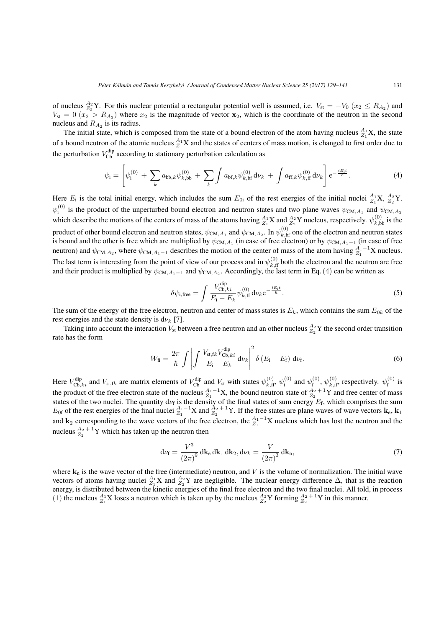of nucleus  $^{A_2}_{Z_2}$ Y. For this nuclear potential a rectangular potential well is assumed, i.e.  $V_{st} = -V_0$  ( $x_2 \le R_{A_2}$ ) and  $V_{\rm st} = 0$  ( $x_2 > R_{A_2}$ ) where  $x_2$  is the magnitude of vector  $x_2$ , which is the coordinate of the neutron in the second nucleus and  $R_{A_2}$  is its radius.

The initial state, which is composed from the state of a bound electron of the atom having nucleus  $A_1$ <sup>1</sup> $X$ , the state of a bound neutron of the atomic nucleus  $^{A_1}_{Z_1}X$  and the states of centers of mass motion, is changed to first order due to the perturbation  $V_{\text{Cb}}^{\text{dip}}$  according to stationary perturbation calculation as

$$
\psi_{\mathbf{i}} = \left[ \psi_{\mathbf{i}}^{(0)} + \sum_{k} a_{\mathbf{bb},k} \psi_{k,\mathbf{bb}}^{(0)} + \sum_{k} \int a_{\mathbf{bf},k} \psi_{k,\mathbf{bf}}^{(0)} d\nu_{k} + \int a_{\mathbf{ff},k} \psi_{k,\mathbf{ff}}^{(0)} d\nu_{k} \right] e^{-\frac{iE_{\mathbf{i}}t}{\hbar}}.
$$
(4)

Here  $E_i$  is the total initial energy, which includes the sum  $E_{0i}$  of the rest energies of the initial nuclei  ${}_{Z_1}^{A_1}X$ ,  ${}_{Z_2}^{A_2}Y$ .  $\psi_i^{(0)}$  $\psi^{(0)}$  is the product of the unperturbed bound electron and neutron states and two plane waves  $\psi_{CM,A_1}$  and  $\psi_{CM,A_2}$ which describe the motions of the centers of mass of the atoms having  $\frac{A_1}{A_1}X$  and  $\frac{A_2}{A_2}Y$  nucleus, respectively.  $\psi_{k,bb}^{(0)}$  is the product of other bound electron and neutron states,  $\psi_{CM,A_1}$  and  $\psi_{CM,A_2}$ . In  $\psi_{k,\text{bf}}^{(0)}$  one of the electron and neutron states is bound and the other is free which are multiplied by  $\psi_{CM,A_1}$  (in case of free electron) or by  $\psi_{CM,A_1-1}$  (in case of free neutron) and  $\psi_{CM,A_2}$ , where  $\psi_{CM,A_1-1}$  describes the motion of the center of mass of the atom having  $A_1^{-1}X$  nucleus. The last term is interesting from the point of view of our process and in  $\psi_{k,ff}^{(0)}$  both the electron and the neutron are free and their product is multiplied by  $\psi_{CM,A_1-1}$  and  $\psi_{CM,A_2}$ . Accordingly, the last term in Eq. (4) can be written as

$$
\delta\psi_{\mathbf{i},\text{free}} = \int \frac{V_{\text{Cb},ki}^{\text{dip}}}{E_{\mathbf{i}} - E_k} \psi_{k,\text{ff}}^{(0)} \,\mathrm{d}\nu_k \mathrm{e}^{-\frac{iE_{\mathbf{i}}t}{\hbar}}.\tag{5}
$$

The sum of the energy of the free electron, neutron and center of mass states is  $E_k$ , which contains the sum  $E_{0k}$  of the rest energies and the state density is  $d\nu_k$  [7].

Taking into account the interaction  $V_{st}$  between a free neutron and an other nucleus  $\frac{A_2}{Z_2}Y$  the second order transition rate has the form

$$
W_{\rm fi} = \frac{2\pi}{\hbar} \int \left| \int \frac{V_{\rm st, fk} V_{\rm cb, ki}^{\rm dip}}{E_{\rm i} - E_k} \, \mathrm{d}\nu_k \right|^2 \delta \left( E_{\rm i} - E_{\rm f} \right) \, \mathrm{d}\nu_{\rm f}.\tag{6}
$$

Here  $V_{\text{Cb},ki}^{\text{dip}}$  and  $V_{\text{st},fk}$  are matrix elements of  $V_{\text{Cb}}^{\text{dip}}$  and  $V_{\text{st}}$  with states  $\psi_{k,ff}^{(0)}$ ,  $\psi_i^{(0)}$  $v_i^{(0)}$  and  $\psi_f^{(0)}$  $\psi_{\text{f}}^{(0)}$ ,  $\psi_{k,\text{ff}}^{(0)}$ , respectively.  $\psi_{\text{f}}^{(0)}$  $\int_{f}^{(0)}$  is the product of the free electron state of the nucleus  $^{A_1-1}_{Z_1}X$ , the bound neutron state of  $^{A_2+1}_{Z_2}Y$  and free center of mass states of the two nuclei. The quantity  $d\nu_f$  is the density of the final states of sum energy  $E_f$ , which comprises the sum  $E_{0f}$  of the rest energies of the final nuclei  $\frac{A_1 - A_2}{Z_1}$  *X* and  $\frac{A_2 + A_1}{Z_2}$ *Y*. If the free states are plane waves of wave vectors  $\mathbf{k}_e$ ,  $\mathbf{k}_1$ and **k**<sub>2</sub> corresponding to the wave vectors of the free electron, the  $^{A_1-1}_{Z_1}X$  nucleus which has lost the neutron and the nucleus  $A_2 + {}^{1}Y$  which has taken up the neutron then

$$
d\nu_{\rm f} = \frac{V^3}{(2\pi)^9} \, d\mathbf{k}_{\rm e} \, d\mathbf{k}_{1} \, d\mathbf{k}_{2}, d\nu_{k} = \frac{V}{(2\pi)^3} \, d\mathbf{k}_{\rm n},\tag{7}
$$

where  $k_n$  is the wave vector of the free (intermediate) neutron, and  $V$  is the volume of normalization. The initial wave vectors of atoms having nuclei  $A_1$ <sup>2</sup> X and  $A_2$ <sup>2</sup> are negligible. The nuclear energy difference  $\Delta$ , that is the reaction energy, is distributed between the kinetic energies of the final free electron and the two final nuclei. All told, in process (1) the nucleus  $A_1$ <sup>2</sup> X loses a neutron which is taken up by the nucleus  $A_2$ <sup>2</sup> Y forming  $A_2$ <sup>2</sup> <sup>1</sup> <sup>1</sup> Y in this manner.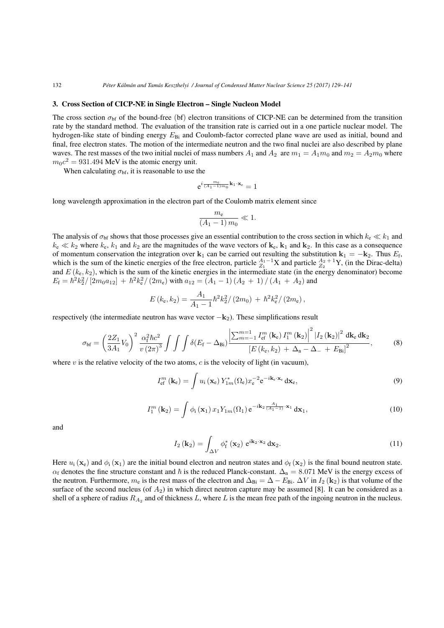#### 3. Cross Section of CICP-NE in Single Electron – Single Nucleon Model

The cross section  $\sigma_{\rm bf}$  of the bound-free (bf) electron transitions of CICP-NE can be determined from the transition rate by the standard method. The evaluation of the transition rate is carried out in a one particle nuclear model. The hydrogen-like state of binding energy  $E_{\text{Bi}}$  and Coulomb-factor corrected plane wave are used as initial, bound and final, free electron states. The motion of the intermediate neutron and the two final nuclei are also described by plane waves. The rest masses of the two initial nuclei of mass numbers  $A_1$  and  $A_2$  are  $m_1 = A_1 m_0$  and  $m_2 = A_2 m_0$  where  $m_0c^2 = 931.494$  MeV is the atomic energy unit.

When calculating  $\sigma_{\rm bf}$ , it is reasonable to use the

$$
\mathrm{e}^{i\frac{m_{\mathrm{e}}}{(A_1-1)m_0}\mathbf{k}_1\cdot\mathbf{x}_{\mathrm{e}}}=1
$$

long wavelength approximation in the electron part of the Coulomb matrix element since

$$
\frac{m_{\rm e}}{\left(A_1 - 1\right)m_0} \ll 1.
$$

The analysis of  $\sigma_{\rm bf}$  shows that those processes give an essential contribution to the cross section in which  $k_e \ll k_1$  and  $k_e \ll k_2$  where  $k_e$ ,  $k_1$  and  $k_2$  are the magnitudes of the wave vectors of  $\mathbf{k}_e$ ,  $\mathbf{k}_1$  and  $\mathbf{k}_2$ . In this case as a consequence of momentum conservation the integration over  $\bf{k}_1$  can be carried out resulting the substitution  $\bf{k}_1 = -\bf{k}_2$ . Thus  $E_f$ , which is the sum of the kinetic energies of the free electron, particle  $\frac{A_1 - 1}{Z_1}X$  and particle  $\frac{A_2 + 1}{Z_2}Y$ , (in the Dirac-delta) and  $E(k_e, k_2)$ , which is the sum of the kinetic energies in the intermediate state (in the energy denominator) become  $E_f = \hbar^2 k_2^2 / [2m_0 a_{12}] + \hbar^2 k_e^2 / (2m_e)$  with  $a_{12} = (A_1 - 1) (A_2 + 1) / (A_1 + A_2)$  and

$$
E(k_{\rm e},k_2) = \frac{A_1}{A_1 - 1} \hbar^2 k_2^2 / (2m_0) + \hbar^2 k_{\rm e}^2 / (2m_{\rm e}),
$$

respectively (the intermediate neutron has wave vector *−***k**2). These simplifications result

$$
\sigma_{\rm bf} = \left(\frac{2Z_1}{3A_1} V_0\right)^2 \frac{\alpha_{\rm f}^2 \hbar c^2}{v (2\pi)^3} \int \int \int \delta(E_{\rm f} - \Delta_{\rm Bj}) \frac{\left|\sum_{m=-1}^{m=1} I_{\rm ef}^m \left(\mathbf{k}_{\rm e}\right) I_1^m \left(\mathbf{k}_2\right)\right|^2 |I_2 \left(\mathbf{k}_2\right)|^2 \, \mathrm{d}\mathbf{k}_{\rm e} \, \mathrm{d}\mathbf{k}_2}{\left[E \left(k_{\rm e}, k_2\right) + \Delta_{\rm n} - \Delta_{-} + E_{\rm Bj}\right]^2},\tag{8}
$$

where  $v$  is the relative velocity of the two atoms,  $c$  is the velocity of light (in vacuum),

$$
I_{\text{ef}}^{m}(\mathbf{k}_{e}) = \int u_{i}(\mathbf{x}_{e}) Y_{1m}^{*}(\Omega_{e}) x_{e}^{-2} e^{-i\mathbf{k}_{e} \cdot \mathbf{x}_{e}} d\mathbf{x}_{e}, \qquad (9)
$$

$$
I_1^m\left(\mathbf{k}_2\right) = \int \phi_i\left(\mathbf{x}_1\right) x_1 Y_{1m}(\Omega_1) e^{-i\mathbf{k}_2} \frac{A_1}{(A_1 - 1)} \cdot \mathbf{x}_1 \, \mathbf{d}\mathbf{x}_1,\tag{10}
$$

and

$$
I_2(\mathbf{k}_2) = \int_{\Delta V} \phi_{\mathbf{f}}^* (\mathbf{x}_2) e^{i\mathbf{k}_2 \cdot \mathbf{x}_2} d\mathbf{x}_2.
$$
 (11)

Here  $u_i$  ( $\mathbf{x}_e$ ) and  $\phi_i$  ( $\mathbf{x}_1$ ) are the initial bound electron and neutron states and  $\phi_f$  ( $\mathbf{x}_2$ ) is the final bound neutron state.  $\alpha_f$  denotes the fine structure constant and  $\hbar$  is the reduced Planck-constant.  $\Delta_n = 8.071$  MeV is the energy excess of the neutron. Furthermore,  $m_e$  is the rest mass of the electron and  $\Delta_{\text{Bi}} = \Delta - E_{\text{Bi}}$ .  $\Delta V$  in  $I_2$  (**k**<sub>2</sub>) is that volume of the surface of the second nucleus (of  $A_2$ ) in which direct neutron capture may be assumed [8]. It can be considered as a shell of a sphere of radius  $R_{A_2}$  and of thickness  $L$ , where  $L$  is the mean free path of the ingoing neutron in the nucleus.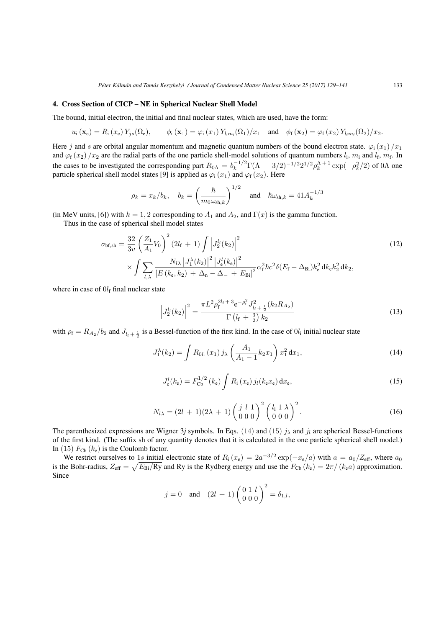## 4. Cross Section of CICP – NE in Spherical Nuclear Shell Model

The bound, initial electron, the initial and final nuclear states, which are used, have the form:

$$
u_{i}(\mathbf{x}_{e}) = R_{i}(x_{e}) Y_{j s}(\Omega_{e}), \qquad \phi_{i}(\mathbf{x}_{1}) = \varphi_{i}(x_{1}) Y_{l_{i}m_{i}}(\Omega_{1})/x_{1} \quad \text{and} \quad \phi_{f}(\mathbf{x}_{2}) = \varphi_{f}(x_{2}) Y_{l_{f}m_{f}}(\Omega_{2})/x_{2}.
$$

Here *j* and *s* are orbital angular momentum and magnetic quantum numbers of the bound electron state.  $\varphi_i(x_1)/x_1$ and  $\varphi_f(x_2)/x_2$  are the radial parts of the one particle shell-model solutions of quantum numbers  $l_i$ ,  $m_i$  and  $l_f$ ,  $m_f$ . In the cases to be investigated the corresponding part  $R_{0\Lambda} = b_k^{-1/2} \Gamma(\Lambda + 3/2)^{-1/2} 2^{1/2} \rho_k^{\Lambda+1} \exp(-\rho_k^2/2)$  of 0 $\Lambda$  one particle spherical shell model states [9] is applied as  $\varphi_i(x_1)$  and  $\varphi_f(x_2)$ . Here

$$
\rho_k = x_k/b_k, \quad b_k = \left(\frac{\hbar}{m_0 \omega_{\text{sh},k}}\right)^{1/2} \quad \text{and} \quad \hbar \omega_{\text{sh},k} = 41 A_k^{-1/3}
$$

(in MeV units, [6]) with  $k = 1, 2$  corresponding to  $A_1$  and  $A_2$ , and  $\Gamma(x)$  is the gamma function.

Thus in the case of spherical shell model states

$$
\sigma_{\text{bf,sh}} = \frac{32}{3v} \left(\frac{Z_1}{A_1} V_0\right)^2 (2l_f + 1) \int \left|J_2^{l_f}(k_2)\right|^2
$$
\n
$$
\times \int \sum_{l,\lambda} \frac{N_{l\lambda} \left|J_1^{\lambda}(k_2)\right|^2 \left|J_e^l(k_e)\right|^2}{\left[E\left(k_e, k_2\right) + \Delta_n - \Delta_- + E_{\text{Bi}}\right]^2} \alpha_f^2 \hbar c^2 \delta(E_f - \Delta_{\text{Bi}}) k_e^2 \, dk_e k_2^2 \, dk_2,
$$
\n(12)

where in case of  $0l_f$  final nuclear state

$$
\left| J_2^{l_i}(k_2) \right|^2 = \frac{\pi L^2 \rho_f^{2l_i + 3} e^{-\rho_i^2} J_{l_i + \frac{1}{2}}^2(k_2 R_{A_2})}{\Gamma(l_i + \frac{3}{2}) k_2}
$$
\n(13)

with  $\rho_f = R_{A_2}/b_2$  and  $J_{l_f + \frac{1}{2}}$  is a Bessel-function of the first kind. In the case of  $0l_i$  initial nuclear state

$$
J_1^{\lambda}(k_2) = \int R_{0l_1}(x_1) j_{\lambda} \left(\frac{A_1}{A_1 - 1} k_2 x_1\right) x_1^2 dx_1,
$$
\n(14)

$$
J_{e}^{l}(k_{e}) = F_{\text{Cb}}^{1/2} (k_{e}) \int R_{i} (x_{e}) j_{l}(k_{e} x_{e}) dx_{e}, \qquad (15)
$$

$$
N_{l\lambda} = (2l+1)(2\lambda+1) \left(\begin{array}{cc} j & l & 1 \\ 0 & 0 & 0 \end{array}\right)^2 \left(\begin{array}{cc} l_1 & 1 & \lambda \\ 0 & 0 & 0 \end{array}\right)^2.
$$
 (16)

The parenthesized expressions are Wigner 3*j* symbols. In Eqs. (14) and (15)  $j_{\lambda}$  and  $j_l$  are spherical Bessel-functions of the first kind. (The suffix sh of any quantity denotes that it is calculated in the one particle spherical shell model.) In (15)  $F_{\text{Cb}}(k_e)$  is the Coulomb factor.

We restrict ourselves to 1*s* initial electronic state of  $R_i(x_e) = 2a^{-3/2} \exp(-x_e/a)$  with  $a = a_0/Z_{\text{eff}}$ , where  $a_0$ is the Bohr-radius,  $Z_{\text{eff}} = \sqrt{E_{\text{Bi}}/Ry}$  and Ry is the Rydberg energy and use the  $F_{\text{Cb}}(k_e) = 2\pi/(k_e a)$  approximation. Since

$$
j = 0
$$
 and  $(2l + 1) \begin{pmatrix} 0 & 1 & l \\ 0 & 0 & 0 \end{pmatrix}^2 = \delta_{1,l}$ ,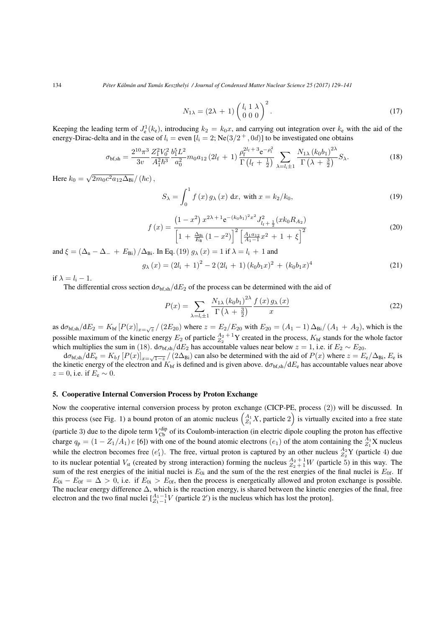134 *Péter Kálmán and Tamás Keszthelyi / Journal of Condensed Matter Nuclear Science 25 (2017) 129–141*

$$
N_{1\lambda} = (2\lambda + 1) \begin{pmatrix} l_i & 1 & \lambda \\ 0 & 0 & 0 \end{pmatrix}^2.
$$
 (17)

Keeping the leading term of  $J_e^1(k_e)$ , introducing  $k_2 = k_0x$ , and carrying out integration over  $k_e$  with the aid of the energy-Dirac-delta and in the case of  $l_i =$  even  $[l_i = 2;$   $\text{Ne}(3/2^+, 0d)]$  to be investigated one obtains

$$
\sigma_{\text{bf,sh}} = \frac{2^{10} \pi^3}{3v} \frac{Z_1^2 V_0^2}{A_1^2 \hbar^3} \frac{b_1^5 L^2}{a_0^2} m_0 a_{12} (2l_f + 1) \frac{\rho_f^{2l_f + 3} e^{-\rho_f^2}}{\Gamma(l_f + \frac{1}{2})} \sum_{\lambda = l_i \pm 1} \frac{N_{1\lambda} (k_0 b_1)^{2\lambda}}{\Gamma(\lambda + \frac{3}{2})} S_{\lambda}.
$$
 (18)

 $\text{Here } k_0 = \sqrt{2m_0c^2a_{12}\Delta_{\text{Bi}}}/(\hbar c),$ 

$$
S_{\lambda} = \int_0^1 f(x) g_{\lambda}(x) dx, \text{ with } x = k_2/k_0,
$$
 (19)

$$
f(x) = \frac{\left(1 - x^2\right) x^{2\lambda + 1} e^{-(k_0 b_1)^2 x^2} J_{l_f + \frac{1}{2}}^2 (x k_0 R_{A_2})}{\left[1 + \frac{\Delta_{\text{Bi}}}{E_{\text{B}}} \left(1 - x^2\right)\right]^2 \left[\frac{A_1 a_{12}}{A_1 - 1} x^2 + 1 + \xi\right]^2}
$$
(20)

and  $\xi = (\Delta_n - \Delta_+ + E_{\text{Bi}})/\Delta_{\text{Bi}}$ . In Eq. (19)  $g_\lambda(x) = 1$  if  $\lambda = l_i + 1$  and

$$
g_{\lambda}(x) = (2l_{i} + 1)^{2} - 2(2l_{i} + 1)(k_{0}b_{1}x)^{2} + (k_{0}b_{1}x)^{4}
$$
\n(21)

if  $\lambda = l_i - 1$ .

The differential cross section  $d\sigma_{bf{bf,sh}}/dE_2$  of the process can be determined with the aid of

$$
P(x) = \sum_{\lambda = l_1 \pm 1} \frac{N_{1\lambda} (k_0 b_1)^{2\lambda}}{\Gamma(\lambda + \frac{3}{2})} \frac{f(x) g_\lambda(x)}{x}
$$
(22)

as  $d\sigma_{bf,sh}/dE_2 = K_{bf} [P(x)]_{x=\sqrt{z}} / (2E_{20})$  where  $z = E_2/E_{20}$  with  $E_{20} = (A_1 - 1) \Delta_{\text{Bi}} / (A_1 + A_2)$ , which is the possible maximum of the kinetic energy  $E_2$  of particle  $A_2^{A_2+1}$  Y created in the process,  $K_{bf}$  stands for the whole factor which multiplies the sum in (18).  $d\sigma_{bf,sh}/dE_2$  has accountable values near below  $z = 1$ , i.e. if  $E_2 \sim E_{20}$ .

 $d\sigma_{\text{bf,sh}}/dE_e = K_{bf} [P(x)]_{x=\sqrt{1-z}}/(2\Delta_{\text{Bi}})$  can also be determined with the aid of  $P(x)$  where  $z = E_e/\Delta_{\text{Bi}}$ ,  $E_e$  is the kinetic energy of the electron and  $K_{\text{bf}}$  is defined and is given above.  $d\sigma_{\text{bf,sh}}/dE_{\text{e}}$  has accountable values near above  $z = 0$ , i.e. if  $E_e \sim 0$ .

# 5. Cooperative Internal Conversion Process by Proton Exchange

Now the cooperative internal conversion process by proton exchange (CICP-PE, process (2)) will be discussed. In this process (see Fig. 1) a bound proton of an atomic nucleus  $\binom{A_1}{Z_1}$ , particle 2) is virtually excited into a free state (particle 3) due to the dipole term  $V_{\text{Cb}}^{\text{dip}}$  of its Coulomb-interaction (in electric dipole coupling the proton has effective charge  $q_p = (1 - Z_1/A_1) e$  [6]) with one of the bound atomic electrons  $(e_1)$  of the atom containing the  $\frac{A_1}{Z_1}X$  nucleus while the electron becomes free  $(e'_1)$ . The free, virtual proton is captured by an other nucleus  $A_2^2$  Y (particle 4) due to its nuclear potential  $V_{st}$  (created by strong interaction) forming the nucleus  $A_2 + 1 \over 2 + 1} W$  (particle 5) in this way. The sum of the rest energies of the initial nuclei is  $E_{0i}$  and the sum of the the rest energies of the final nuclei is  $E_{0f}$ . If  $E_{0i} - E_{0f} = \Delta > 0$ , i.e. if  $E_{0i} > E_{0f}$ , then the process is energetically allowed and proton exchange is possible. The nuclear energy difference ∆, which is the reaction energy, is shared between the kinetic energies of the final, free electron and the two final nuclei  $\begin{bmatrix} A_1 - 1 \\ Z_1 - 1 \end{bmatrix}$  *V* (particle 2') is the nucleus which has lost the proton].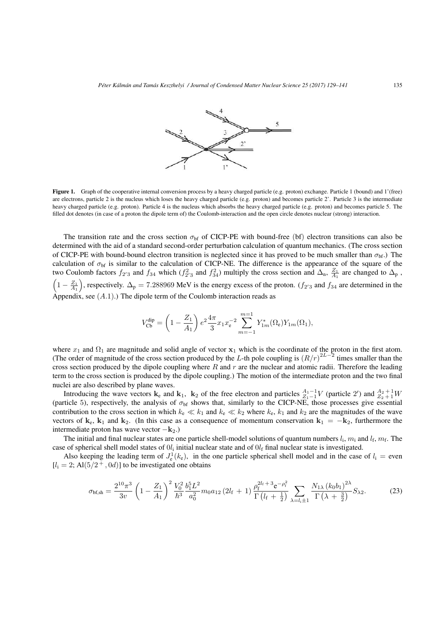

Figure 1. Graph of the cooperative internal conversion process by a heavy charged particle (e.g. proton) exchange. Particle 1 (bound) and 1'(free) are electrons, particle 2 is the nucleus which loses the heavy charged particle (e.g. proton) and becomes particle 2'. Particle 3 is the intermediate heavy charged particle (e.g. proton). Particle 4 is the nucleus which absorbs the heavy charged particle (e.g. proton) and becomes particle 5. The filled dot denotes (in case of a proton the dipole term of) the Coulomb-interaction and the open circle denotes nuclear (strong) interaction.

The transition rate and the cross section  $\sigma_{\rm bf}$  of CICP-PE with bound-free (bf) electron transitions can also be determined with the aid of a standard second-order perturbation calculation of quantum mechanics. (The cross section of CICP-PE with bound-bound electron transition is neglected since it has proved to be much smaller than  $\sigma_{\rm bf}$ .) The calculation of  $\sigma_{bf}$  is similar to the calculation of CICP-NE. The difference is the appearance of the square of the two Coulomb factors  $f_{2'3}$  and  $f_{34}$  which ( $f_{2'3}^2$  and  $f_{34}^2$ ) multiply the cross section and  $\Delta_n$ ,  $\frac{Z_1}{A_1}$  are changed to  $\Delta_p$ ,  $\left(1 - \frac{Z_1}{A_1}\right)$ ), respectively.  $\Delta_p = 7.288969$  MeV is the energy excess of the proton. ( $f_{2/3}$  and  $f_{34}$  are determined in the Appendix, see  $(A.1)$ .) The dipole term of the Coulomb interaction reads as

$$
V_{\text{Cb}}^{\text{dip}} = \left(1 - \frac{Z_1}{A_1}\right) e^2 \frac{4\pi}{3} x_1 x_e^{-2} \sum_{m=-1}^{m=1} Y_{1m}^*(\Omega_e) Y_{1m}(\Omega_1),
$$

where  $x_1$  and  $\Omega_1$  are magnitude and solid angle of vector  $x_1$  which is the coordinate of the proton in the first atom. (The order of magnitude of the cross section produced by the *L*-th pole coupling is  $(R/r)^{2L-2}$  times smaller than the cross section produced by the dipole coupling where *R* and *r* are the nuclear and atomic radii. Therefore the leading term to the cross section is produced by the dipole coupling.) The motion of the intermediate proton and the two final nuclei are also described by plane waves.

Introducing the wave vectors  $\mathbf{k}_e$  and  $\mathbf{k}_1$ ,  $\mathbf{k}_2$  of the free electron and particles  $A_1-1$  *Z*<sub>1</sub><sup>−1</sup> (particle 2<sup>*′*</sup>) and  $A_2+1$  *Z*<sub>2</sub> + 1</sub>*W* (particle 5), respectively, the analysis of  $\sigma_{bf}$  shows that, similarly to the CICP-NE, those processes give essential contribution to the cross section in which  $k_e \ll k_1$  and  $k_e \ll k_2$  where  $k_e$ ,  $k_1$  and  $k_2$  are the magnitudes of the wave vectors of  $\mathbf{k}_e$ ,  $\mathbf{k}_1$  and  $\mathbf{k}_2$ . (In this case as a consequence of momentum conservation  $\mathbf{k}_1 = -\mathbf{k}_2$ , furthermore the intermediate proton has wave vector *−***k**2.)

The initial and final nuclear states are one particle shell-model solutions of quantum numbers  $l_i$ ,  $m_i$  and  $l_f$ ,  $m_f$ . The case of spherical shell model states of  $0l_i$  initial nuclear state and of  $0l_f$  final nuclear state is investigated.

Also keeping the leading term of  $J_e^1(k_e)$ , in the one particle spherical shell model and in the case of  $l_i$  = even  $[l_i = 2; A1(5/2^+, 0d)]$  to be investigated one obtains

$$
\sigma_{\text{bf,sh}} = \frac{2^{10} \pi^3}{3v} \left( 1 - \frac{Z_1}{A_1} \right)^2 \frac{V_0^2}{\hbar^3} \frac{b_1^5 L^2}{a_0^2} m_0 a_{12} \left( 2l_f + 1 \right) \frac{\rho_f^{2l_f + 3} e^{-\rho_f^2}}{\Gamma \left( l_f + \frac{1}{2} \right)} \sum_{\lambda = l_i \pm 1} \frac{N_{1\lambda} \left( k_0 b_1 \right)^{2\lambda}}{\Gamma \left( \lambda + \frac{3}{2} \right)} S_{\lambda 2} . \tag{23}
$$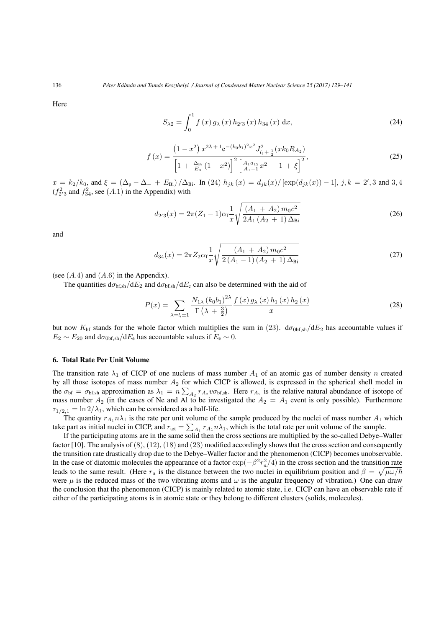Here

$$
S_{\lambda 2} = \int_0^1 f(x) g_{\lambda}(x) h_{2'3}(x) h_{34}(x) dx,
$$
 (24)

$$
f(x) = \frac{\left(1 - x^2\right) x^{2\lambda + 1} e^{-(k_0 b_1)^2 x^2} J_{l_1 + \frac{1}{2}}^2 (x k_0 R_{A_2})}{\left[1 + \frac{\Delta_{\text{Bi}}}{E_{\text{B}}} \left(1 - x^2\right)\right]^2 \left[\frac{A_1 a_{12}}{A_1 - 1} x^2 + 1 + \xi\right]^2},\tag{25}
$$

 $x = k_2/k_0$ , and  $\xi = (\Delta_p - \Delta_- + E_{\text{Bi}})/\Delta_{\text{Bi}}$ . In (24)  $h_{jk}(x) = d_{jk}(x)/[\exp(d_{jk}(x)) - 1]$ ,  $j, k = 2', 3$  and 3,4  $(f_{2/3}^2$  and  $f_{34}^2$ , see  $(A.1)$  in the Appendix) with

$$
d_{2'3}(x) = 2\pi (Z_1 - 1)\alpha_f \frac{1}{x} \sqrt{\frac{(A_1 + A_2) m_0 c^2}{2A_1 (A_2 + 1) \Delta_{\text{Bi}}}}
$$
(26)

and

$$
d_{34}(x) = 2\pi Z_2 \alpha_f \frac{1}{x} \sqrt{\frac{(A_1 + A_2) m_0 c^2}{2 (A_1 - 1) (A_2 + 1) \Delta_{\text{Bi}}}}
$$
(27)

(see (*A.*4) and (*A.*6) in the Appendix).

The quantities  $d\sigma_{\text{bf,sh}}/dE_2$  and  $d\sigma_{\text{bf,sh}}/dE_e$  can also be determined with the aid of

$$
P(x) = \sum_{\lambda = l_1 \pm 1} \frac{N_{1\lambda} (k_0 b_1)^{2\lambda} f(x) g_\lambda(x) h_1(x) h_2(x)}{\Gamma(\lambda + \frac{3}{2})} \tag{28}
$$

but now  $K_{\text{bf}}$  stands for the whole factor which multiplies the sum in (23).  $d\sigma_{\text{obf},sh}/dE_2$  has accountable values if  $E_2 \sim E_{20}$  and  $d\sigma_{0bf,sh}/dE_e$  has accountable values if  $E_e \sim 0$ .

#### 6. Total Rate Per Unit Volume

The transition rate  $\lambda_1$  of CICP of one nucleus of mass number  $A_1$  of an atomic gas of number density *n* created by all those isotopes of mass number *A*<sup>2</sup> for which CICP is allowed, is expressed in the spherical shell model in the  $\sigma_{\text{bf}} = \sigma_{\text{bf,sh}}$  approximation as  $\lambda_1 = n \sum_{A_2} r_{A_2} v \sigma_{\text{bf,sh}}$ . Here  $r_{A_2}$  is the relative natural abundance of isotope of mass number  $A_2$  (in the cases of Ne and Al to be investigated the  $A_2 = A_1$  event is only possible). Furthermore  $\tau_{1/2,1} = \ln 2/\lambda_1$ , which can be considered as a half-life.

The quantity  $r_{A_1} n \lambda_1$  is the rate per unit volume of the sample produced by the nuclei of mass number  $A_1$  which take part as initial nuclei in CICP, and  $r_{\text{tot}} = \sum_{A_1} r_{A_1} n \lambda_1$ , which is the total rate per unit volume of the sample.

If the participating atoms are in the same solid then the cross sections are multiplied by the so-called Debye–Waller factor [10]. The analysis of  $(8)$ ,  $(12)$ ,  $(18)$  and  $(23)$  modified accordingly shows that the cross section and consequently the transition rate drastically drop due to the Debye–Waller factor and the phenomenon (CICP) becomes unobservable. In the case of diatomic molecules the appearance of a factor  $\exp(-\beta^2 r_a^2/4)$  in the cross section and the transition rate leads to the same result. (Here  $r_a$  is the distance between the two nuclei in equilibrium position and  $\beta = \sqrt{\mu \omega/\hbar}$ were  $\mu$  is the reduced mass of the two vibrating atoms and  $\omega$  is the angular frequency of vibration.) One can draw the conclusion that the phenomenon (CICP) is mainly related to atomic state, i.e. CICP can have an observable rate if either of the participating atoms is in atomic state or they belong to different clusters (solids, molecules).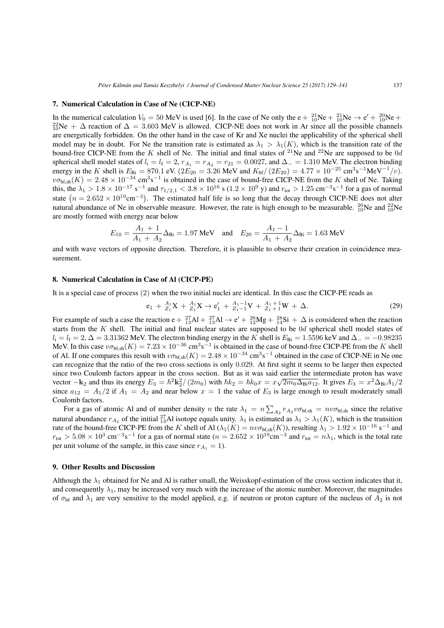#### 7. Numerical Calculation in Case of Ne (CICP-NE)

In the numerical calculation  $V_0 = 50$  MeV is used [6]. In the case of Ne only the  $e + \frac{21}{10}Ne + \frac{21}{10}Ne \rightarrow e' + \frac{20}{10}Ne +$ 2<sup>2</sup><sub>10</sub>Ne + ∆ reaction of  $\Delta = 3.603$  MeV is allowed. CICP-NE does not work in Ar since all the possible channels are energetically forbidden. On the other hand in the case of Kr and Xe nuclei the applicability of the spherical shell model may be in doubt. For Ne the transition rate is estimated as  $\lambda_1 > \lambda_1(K)$ , which is the transition rate of the bound-free CICP-NE from the *K* shell of Ne. The initial and final states of <sup>21</sup>Ne and <sup>22</sup>Ne are supposed to be 0*d* spherical shell model states of  $l_i = l_f = 2$ ,  $r_{A_1} = r_{A_2} = r_{21} = 0.0027$ , and  $\Delta_1 = 1.310$  MeV. The electron binding energy in the *K* shell is  $E_{\text{Bi}} = 870.1 \text{ eV}$ . ( $2E_{20} = 3.26 \text{ MeV}$  and  $K_{\text{bf}}/(2E_{20}) = 4.77 \times 10^{-25} \text{ cm}^3 \text{s}^{-1} \text{MeV}^{-1}/v$ ).  $v\sigma_{\text{bf,sh}}(K) = 2.48 \times 10^{-34} \text{ cm}^3 \text{s}^{-1}$  is obtained in the case of bound-free CICP-NE from the *K* shell of Ne. Taking this, the  $\lambda_1 > 1.8 \times 10^{-17}$  s<sup>-1</sup> and  $\tau_{1/2,1} < 3.8 \times 10^{16}$  s ( $1.2 \times 10^9$  y) and  $r_{\text{tot}} > 1.25$  cm<sup>-3</sup>s<sup>-1</sup> for a gas of normal state  $(n = 2.652 \times 10^{19} \text{cm}^{-3})$ . The estimated half life is so long that the decay through CICP-NE does not alter natural abundance of Ne in observable measure. However, the rate is high enough to be measurable.  $^{20}_{10}$ Ne and  $^{22}_{10}$ Ne are mostly formed with energy near below

$$
E_{10} = \frac{A_1 + 1}{A_1 + A_2} \Delta_{\text{Bi}} = 1.97 \text{ MeV} \quad \text{and} \quad E_{20} = \frac{A_1 - 1}{A_1 + A_2} \Delta_{\text{Bi}} = 1.63 \text{ MeV}
$$

and with wave vectors of opposite direction. Therefore, it is plausible to observe their creation in coincidence measurement.

#### 8. Numerical Calculation in Case of Al (CICP-PE)

It is a special case of process (2) when the two initial nuclei are identical. In this case the CICP-PE reads as

$$
e_1 + {}_{Z_1}^{A_1}X + {}_{Z_1}^{A_1}X \to e'_1 + {}_{Z_1-1}^{A_1-1}V + {}_{Z_1+1}^{A_1+1}W + \Delta.
$$
 (29)

For example of such a case the reaction e +  $^{27}_{13}$ Al +  $^{27}_{13}$ Al → e' +  $^{26}_{12}$ Mg +  $^{28}_{14}$ Si +  $\Delta$  is considered when the reaction starts from the *K* shell. The initial and final nuclear states are supposed to be 0*d* spherical shell model states of  $l_i = l_f = 2$ ,  $\Delta = 3.31362$  MeV. The electron binding energy in the *K* shell is  $E_{Bi} = 1.5596$  keV and  $\Delta_0 = -0.98235$ MeV. In this case  $v\sigma_{\text{bf,sh}}(K) = 7.23 \times 10^{-36} \text{ cm}^3 \text{s}^{-1}$  is obtained in the case of bound-free CICP-PE from the *K* shell of Al. If one compares this result with  $v\sigma_{\text{bf,sh}}(K) = 2.48 \times 10^{-34} \text{ cm}^3 \text{s}^{-1}$  obtained in the case of CICP-NE in Ne one can recognize that the ratio of the two cross sections is only 0*.*029. At first sight it seems to be larger then expected since two Coulomb factors appear in the cross section. But as it was said earlier the intermediate proton has wave vector  $-\mathbf{k}_2$  and thus its energy  $E_3 = \hbar^2 \mathbf{k}_2^2/(2m_0)$  with  $\hbar k_2 = \hbar k_0 x = x\sqrt{2m_0\Delta_{\text{Bi}}a_{12}}$ . It gives  $E_3 = x^2\Delta_{\text{Bi}}A_1/2$ since  $a_{12} = A_1/2$  if  $A_1 = A_2$  and near below  $x = 1$  the value of  $E_3$  is large enough to result moderately small Coulomb factors.

For a gas of atomic Al and of number density *n* the rate  $\lambda_1 = n \sum_{A_2} r_{A_2} v \sigma_{bf,sh} = n v \sigma_{bf,sh}$  since the relative natural abundance  $r_{A_2}$  of the initial  $^{27}_{13}$ Al isotope equals unity.  $\lambda_1$  is estimated as  $\lambda_1 > \lambda_1(K)$ , which is the transition rate of the bound-free CICP-PE from the *K* shell of Al ( $\lambda_1(K) = n v \sigma_{\text{bf},sh}(K)$ ), resulting  $\lambda_1 > 1.92 \times 10^{-16} \text{ s}^{-1}$  and  $r_{\text{tot}} > 5.08 \times 10^3 \text{ cm}^{-3} \text{s}^{-1}$  for a gas of normal state ( $n = 2.652 \times 10^{19} \text{ cm}^{-3}$  and  $r_{\text{tot}} = n\lambda_1$ , which is the total rate per unit volume of the sample, in this case since  $r_{A_1} = 1$ ).

#### 9. Other Results and Discussion

Although the  $\lambda_1$  obtained for Ne and Al is rather small, the Weisskopf-estimation of the cross section indicates that it, and consequently  $\lambda_1$ , may be increased very much with the increase of the atomic number. Moreover, the magnitudes of  $\sigma_{\rm bf}$  and  $\lambda_1$  are very sensitive to the model applied, e.g. if neutron or proton capture of the nucleus of  $A_2$  is not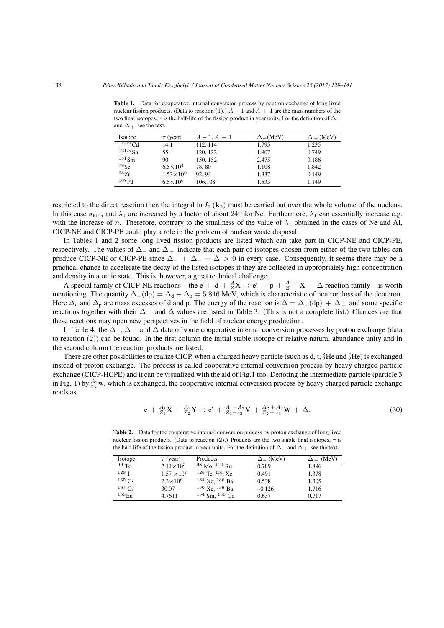Table 1. Data for cooperative internal conversion process by neutron exchange of long lived nuclear fission products. (Data to reaction (1).)  $A - 1$  and  $A + 1$  are the mass numbers of the two final isotopes, *τ* is the half-life of the fission product in year units. For the definition of ∆*<sup>−</sup>* and  $\Delta$  + see the text.

| Isotope              | $\tau$ (year)       | $A-1, A+1$ | $\Delta$ <sub>-</sub> (MeV) | $+$ (MeV) |
|----------------------|---------------------|------------|-----------------------------|-----------|
| $\overline{113m}$ Cd | 14.1                | 112, 114   | 1.795                       | 1.235     |
| 121mSn               | 55                  | 120, 122   | 1.907                       | 0.749     |
| $151$ Sm             | 90                  | 150, 152   | 2.475                       | 0.186     |
| $79$ Se              | $6.5 \times 10^{4}$ | 78.80      | 1.108                       | 1.842     |
| 937r                 | $1.53\times10^{6}$  | 92.94      | 1.337                       | 0.149     |
| 107Pd                | $6.5 \times 10^{6}$ | 106,108    | 1.533                       | 1.149     |

restricted to the direct reaction then the integral in  $I_2$  ( $\mathbf{k}_2$ ) must be carried out over the whole volume of the nucleus. In this case  $\sigma_{\text{bf,sh}}$  and  $\lambda_1$  are increased by a factor of about 240 for Ne. Furthermore,  $\lambda_1$  can essentially increase e.g. with the increase of *n*. Therefore, contrary to the smallness of the value of  $\lambda_1$  obtained in the cases of Ne and Al, CICP-NE and CICP-PE could play a role in the problem of nuclear waste disposal.

In Tables 1 and 2 some long lived fission products are listed which can take part in CICP-NE and CICP-PE, respectively. The values of ∆*<sup>−</sup>* and ∆ <sup>+</sup> indicate that each pair of isotopes chosen from either of the two tables can produce CICP-NE or CICP-PE since ∆*<sup>−</sup>* + ∆*<sup>−</sup>* = ∆ *>* 0 in every case. Consequently, it seems there may be a practical chance to accelerate the decay of the listed isotopes if they are collected in appropriately high concentration and density in atomic state. This is, however, a great technical challenge.

A special family of CICP-NE reactions – the e + d +  $\frac{A}{Z}X \to e' + p + \frac{A}{Z}^{+1}X + \Delta$  reaction family – is worth mentioning. The quantity  $\Delta_-(dp) = \Delta_d - \Delta_p = 5.846$  MeV, which is characteristic of neutron loss of the deuteron. Here  $\Delta_d$  and  $\Delta_p$  are mass excesses of d and p. The energy of the reaction is  $\Delta = \Delta_-(dp) + \Delta_+$  and some specific reactions together with their  $\Delta_+$  and  $\Delta$  values are listed in Table 3. (This is not a complete list.) Chances are that these reactions may open new perspectives in the field of nuclear energy production.

In Table 4. the Δ<sub>−</sub>, Δ<sub>+</sub> and Δ data of some cooperative internal conversion processes by proton exchange (data to reaction (2)) can be found. In the first column the initial stable isotope of relative natural abundance unity and in the second column the reaction products are listed.

There are other possibilities to realize CICP, when a charged heavy particle (such as d, t,  $_2^3$ He and  $_2^4$ He) is exchanged instead of proton exchange. The process is called cooperative internal conversion process by heavy charged particle exchange (CICP-HCPE) and it can be visualized with the aid of Fig.1 too. Denoting the intermediate particle (particle 3 in Fig. 1) by  $^{A_3}_{z_3}$ w, which is exchanged, the cooperative internal conversion process by heavy charged particle exchange reads as

$$
e + {}_{Z_1}^{A_1}X + {}_{Z_2}^{A_2}Y \to e' + {}_{Z_1 - z_3}^{A_1 - A_3}V + {}_{Z_2 + z_3}^{A_2 + A_3}W + \Delta.
$$
 (30)

Table 2. Data for the cooperative internal conversion process by proton exchange of long lived nuclear fission products. (Data to reaction (2).) Products are the two stable final isotopes, *τ* is the half-life of the fission product in year units. For the definition of ∆*<sup>−</sup>* and ∆ <sup>+</sup> see the text.

| <b>Isotope</b>      | $\tau$ (year)      | Products           | $\Delta$ <sub>-</sub> (MeV) | $\Delta$ + (MeV) |
|---------------------|--------------------|--------------------|-----------------------------|------------------|
| 99Tc                | $2.11 \times 10^5$ | $98$ Mo. $100$ Ru  | 0.789                       | 1.896            |
| 129 <sub>T</sub>    | $1.57 \times 10^7$ | $128$ Te, $130$ Xe | 0.491                       | 1.378            |
| $135\,c_s$          | $2.3 \times 10^6$  | $134$ Xe, $136$ Ba | 0.538                       | 1.305            |
| $137C_S$            | 30.07              | $136$ Xe, $138$ Ba | $-0.126$                    | 1.716            |
| $^{155}\mathrm{Eu}$ | 4.7611             | $154$ Sm, $156$ Gd | 0.637                       | 0.717            |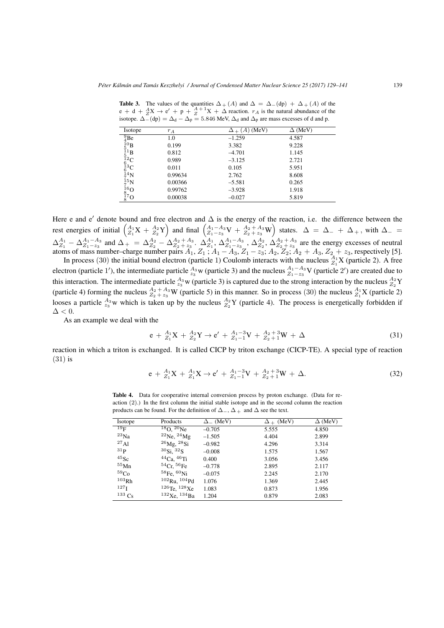| <b>Isotope</b>                                                                                                                   | $r_A$   | $(A)$ (MeV) | $\Delta$ (MeV) |
|----------------------------------------------------------------------------------------------------------------------------------|---------|-------------|----------------|
| $^{9}_{4}$ Be                                                                                                                    | 1.0     | $-1.259$    | 4.587          |
|                                                                                                                                  | 0.199   | 3.382       | 9.228          |
| $^{\bar{1}0}_{\;\bar{5}\;\bar{1}}\mathrm{B} \ \mathrm{_5^{\bar{1}1}\mathrm{B}}$                                                  | 0.812   | $-4.701$    | 1.145          |
|                                                                                                                                  | 0.989   | $-3.125$    | 2.721          |
| $^{\vphantom{1}^{\vphantom{1}}\vphantom{1}^{\vphantom{1}}\! 12}_{\vphantom{1}6} \text{C} \atop {}^{0}_{\vphantom{1}7}\!\! 14}$ N | 0.011   | 0.105       | 5.951          |
|                                                                                                                                  | 0.99634 | 2.762       | 8.608          |
| $\frac{1}{2}$ <sup>5</sup> N                                                                                                     | 0.00366 | $-5.581$    | 0.265          |
|                                                                                                                                  | 0.99762 | $-3.928$    | 1.918          |
| $\frac{16}{8}$ O<br>$\frac{17}{8}$ O                                                                                             | 0.00038 | $-0.027$    | 5.819          |

Table 3. The values of the quantities  $\Delta_+(A)$  and  $\Delta = \Delta_-(dp) + \Delta_+(A)$  of the  $e + d + \frac{A}{Z}X \rightarrow e' + p + \frac{A}{Z} + 1X + \Delta$  reaction. *r<sub>A</sub>* is the natural abundance of the isotope.  $\Delta_{-}^{\prime}$ (dp) =  $\Delta_{d} - \Delta_{p} = 5.846$  MeV,  $\Delta_{d}$  and  $\Delta_{p}$  are mass excesses of d and p.

Here e and e<sup> $\prime$ </sup> denote bound and free electron and  $\Delta$  is the energy of the reaction, i.e. the difference between the rest energies of initial  $\begin{pmatrix} A_1 \ X + \frac{A_2}{Z_1} Y \end{pmatrix}$  and final  $\begin{pmatrix} A_1 - A_3 \ Z_1 - z_3 V + \frac{A_2 + A_3}{Z_2 + z_3} W \end{pmatrix}$  states.  $\Delta = \Delta_- + \Delta_+$ , with  $\Delta_ \Delta_{Z_1}^{A_1} - \Delta_{Z_1 - z_3}^{A_1 - A_3}$  and  $\Delta_+ = \Delta_{Z_2}^{A_2} - \Delta_{Z_2 + z_3}^{A_2 + A_3}$ .  $\Delta_{Z_1}^{A_1}$ ,  $\Delta_{Z_1 - z_3}^{A_1 - A_3}$ ,  $\Delta_{Z_2}^{A_2}$ ,  $\Delta_{Z_2 + z_3}^{A_2 + A_3}$  are the energy excesses of neutral atoms of mass number–charge number pairs  $A_1$ ,  $Z_1$ ;  $A_1 - A_3$ ,  $Z_1 - z_3$ ;  $A_2$ ,  $Z_2$ ;  $A_2 + A_3$ ,  $Z_2 + z_3$ , respectively [5].

In process (30) the initial bound electron (particle 1) Coulomb interacts with the nucleus  $^{A_1}_{Z_1}X$  (particle 2). A free electron (particle 1'), the intermediate particle  $^{A_3}_{z_3}$  w (particle 3) and the nucleus  $^{A_1-A_3}_{Z_1-z_3}$  V (particle 2') are created due to this interaction. The intermediate particle  $^{A_3}_{z_3}$  w (particle 3) is captured due to the strong interaction by the nucleus  $^{A_2}_{Z_2}Y$ (particle 4) forming the nucleus  $A_2 + A_3$  W (particle 5) in this manner. So in process (30) the nucleus  $A_1$ <sup>1</sup>X (particle 2) looses a particle  $^{A_3}_{z_3}$  w which is taken up by the nucleus  $^{A_2}_{z_2}Y$  (particle 4). The process is energetically forbidden if  $\Delta < 0$ .

As an example we deal with the

$$
e + {}_{Z_1}^{A_1}X + {}_{Z_2}^{A_2}Y \to e' + {}_{Z_1-1}^{A_1-3}V + {}_{Z_2+1}^{A_2+3}W + \Delta
$$
\n(31)

reaction in which a triton is exchanged. It is called CICP by triton exchange (CICP-TE). A special type of reaction (31) is

$$
e + {}_{Z_1}^{A_1}X + {}_{Z_1}^{A_1}X \to e' + {}_{Z_1-1}^{A_1-3}V + {}_{Z_2+1}^{A_2+3}W + \Delta.
$$
 (32)

Table 4. Data for cooperative internal conversion process by proton exchange. (Data for reaction (2).) In the first column the initial stable isotope and in the second column the reaction products can be found. For the definition of  $\Delta$ <sub>−</sub>,  $\Delta$ <sub>+</sub> and  $\Delta$  see the text.

| Isotope          | Products               | $\Delta$ (MeV) | $\Delta$ + (MeV) | $\Delta$ (MeV) |
|------------------|------------------------|----------------|------------------|----------------|
| $^{19}$ F        | $^{18}$ O, $^{20}$ Ne  | $-0.705$       | 5.555            | 4.850          |
| $^{23}Na$        | $^{22}$ Ne, $^{24}$ Mg | $-1.505$       | 4.404            | 2.899          |
| $^{27}$ Al       | $^{26}$ Mg, $^{28}$ Si | $-0.982$       | 4.296            | 3.314          |
| 31 <sub>p</sub>  | ${}^{30}Si. {}^{32}S$  | $-0.008$       | 1.575            | 1.567          |
| $45$ Sc          | $44Ca$ , $46Ti$        | 0.400          | 3.056            | 3.456          |
| $55\mathrm{Mn}$  | $54Cr$ , $56Fe$        | $-0.778$       | 2.895            | 2.117          |
| 59C <sub>O</sub> | $^{58}$ Fe, $^{60}$ Ni | $-0.075$       | 2.245            | 2.170          |
| 103Rh            | $102$ Ru, $104$ Pd     | 1.076          | 1.369            | 2.445          |
| 127 <sub>I</sub> | $126$ Te, $128$ Xe     | 1.083          | 0.873            | 1.956          |
| $133 \text{ Cs}$ | $132$ Xe, $134$ Ba     | 1.204          | 0.879            | 2.083          |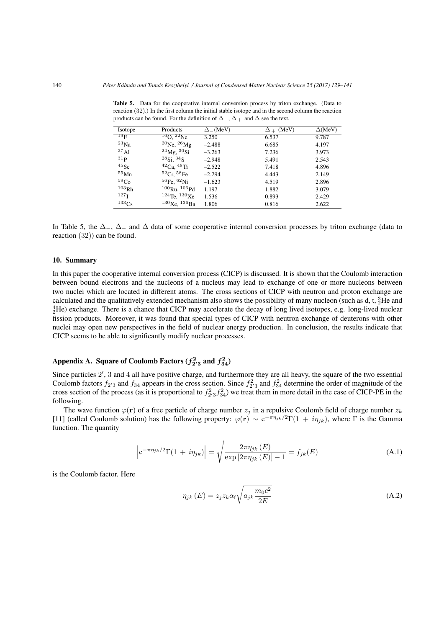| <b>Isotope</b>   | Products                   | $\Delta$ <sub>-</sub> (MeV) | $\Delta$ + (MeV) | $\Delta$ (MeV) |
|------------------|----------------------------|-----------------------------|------------------|----------------|
| $^{19}$ F        | $^{16}$ O, $^{22}$ Ne      | 3.250                       | 6.537            | 9.787          |
| $^{23}$ Na       | $^{20}$ Ne, $^{26}$ Mg     | $-2.488$                    | 6.685            | 4.197          |
| 27A1             | $^{24}$ Mg, $^{30}$ Si     | $-3.263$                    | 7.236            | 3.973          |
| 31 <sub>p</sub>  | $^{28}Si.~^{34}S$          | $-2.948$                    | 5.491            | 2.543          |
| $^{45}$ Sc       | ${}^{42}$ Ca, ${}^{48}$ Ti | $-2.522$                    | 7.418            | 4.896          |
| $^{55}$ Mn       | 52Cr, 58Fe                 | $-2.294$                    | 4.443            | 2.149          |
| 59 <sub>Co</sub> | ${}^{56}$ Fe, ${}^{62}$ Ni | $-1.623$                    | 4.519            | 2.896          |
| 103Rh            | $100$ Ru, $106$ Pd         | 1.197                       | 1.882            | 3.079          |
| 127 <sub>I</sub> | $124$ Te, $130$ Xe         | 1.536                       | 0.893            | 2.429          |
| $133C_S$         | $130$ Xe, $136$ Ba         | 1.806                       | 0.816            | 2.622          |

Table 5. Data for the cooperative internal conversion process by triton exchange. (Data to reaction (32).) In the first column the initial stable isotope and in the second column the reaction products can be found. For the definition of ∆*−*, ∆ <sup>+</sup> and ∆ see the text.

In Table 5, the ∆*−*, ∆*<sup>−</sup>* and ∆ data of some cooperative internal conversion processes by triton exchange (data to reaction (32)) can be found.

# 10. Summary

In this paper the cooperative internal conversion process (CICP) is discussed. It is shown that the Coulomb interaction between bound electrons and the nucleons of a nucleus may lead to exchange of one or more nucleons between two nuclei which are located in different atoms. The cross sections of CICP with neutron and proton exchange are calculated and the qualitatively extended mechanism also shows the possibility of many nucleon (such as d, t,  ${}^{3}_{2}$ He and  ${}_{2}^{4}$ He) exchange. There is a chance that CICP may accelerate the decay of long lived isotopes, e.g. long-lived nuclear fission products. Moreover, it was found that special types of CICP with neutron exchange of deuterons with other nuclei may open new perspectives in the field of nuclear energy production. In conclusion, the results indicate that CICP seems to be able to significantly modify nuclear processes.

# Appendix A. Square of Coulomb Factors  $(f_{2'3}^2$  and  $f_{34}^2)$

Since particles 2', 3 and 4 all have positive charge, and furthermore they are all heavy, the square of the two essential Coulomb factors  $f_{2'3}$  and  $f_{34}$  appears in the cross section. Since  $f_{2'3}^2$  and  $f_{34}^2$  determine the order of magnitude of the cross section of the process (as it is proportional to  $f_2^2, f_3^2$ ) we treat them in more detail in the case of CICP-PE in the following.

The wave function  $\varphi(\mathbf{r})$  of a free particle of charge number  $z_j$  in a repulsive Coulomb field of charge number  $z_k$ [11] (called Coulomb solution) has the following property:  $\varphi(\mathbf{r}) \sim e^{-\pi \eta_{jk}}/2\Gamma(1 + i\eta_{jk})$ , where  $\Gamma$  is the Gamma function. The quantity

$$
\left| e^{-\pi \eta_{jk}/2} \Gamma(1 + i \eta_{jk}) \right| = \sqrt{\frac{2\pi \eta_{jk}(E)}{\exp\left[2\pi \eta_{jk}(E)\right] - 1}} = f_{jk}(E)
$$
\n(A.1)

is the Coulomb factor. Here

$$
\eta_{jk}(E) = z_j z_k \alpha_f \sqrt{a_{jk} \frac{m_0 c^2}{2E}} \tag{A.2}
$$